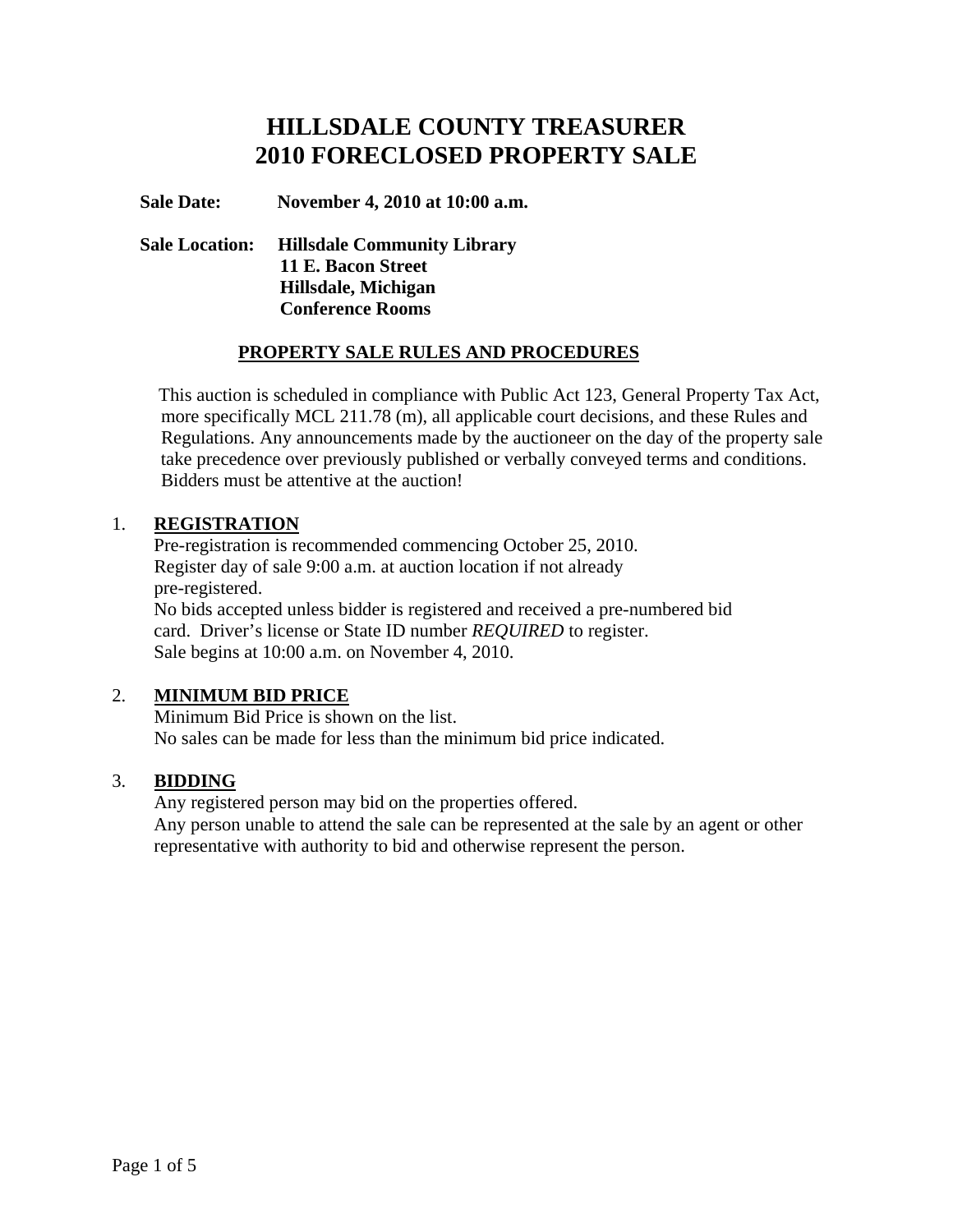# **HILLSDALE COUNTY TREASURER 2010 FORECLOSED PROPERTY SALE**

#### **Sale Date: November 4, 2010 at 10:00 a.m.**

## **Sale Location: Hillsdale Community Library 11 E. Bacon Street Hillsdale, Michigan Conference Rooms**

## **PROPERTY SALE RULES AND PROCEDURES**

 This auction is scheduled in compliance with Public Act 123, General Property Tax Act, more specifically MCL 211.78 (m), all applicable court decisions, and these Rules and Regulations. Any announcements made by the auctioneer on the day of the property sale take precedence over previously published or verbally conveyed terms and conditions. Bidders must be attentive at the auction!

#### 1. **REGISTRATION**

 Pre-registration is recommended commencing October 25, 2010. Register day of sale 9:00 a.m. at auction location if not already pre-registered. No bids accepted unless bidder is registered and received a pre-numbered bid card. Driver's license or State ID number *REQUIRED* to register.

Sale begins at 10:00 a.m. on November 4, 2010.

## 2. **MINIMUM BID PRICE**

 Minimum Bid Price is shown on the list. No sales can be made for less than the minimum bid price indicated.

## 3. **BIDDING**

 Any registered person may bid on the properties offered. Any person unable to attend the sale can be represented at the sale by an agent or other representative with authority to bid and otherwise represent the person.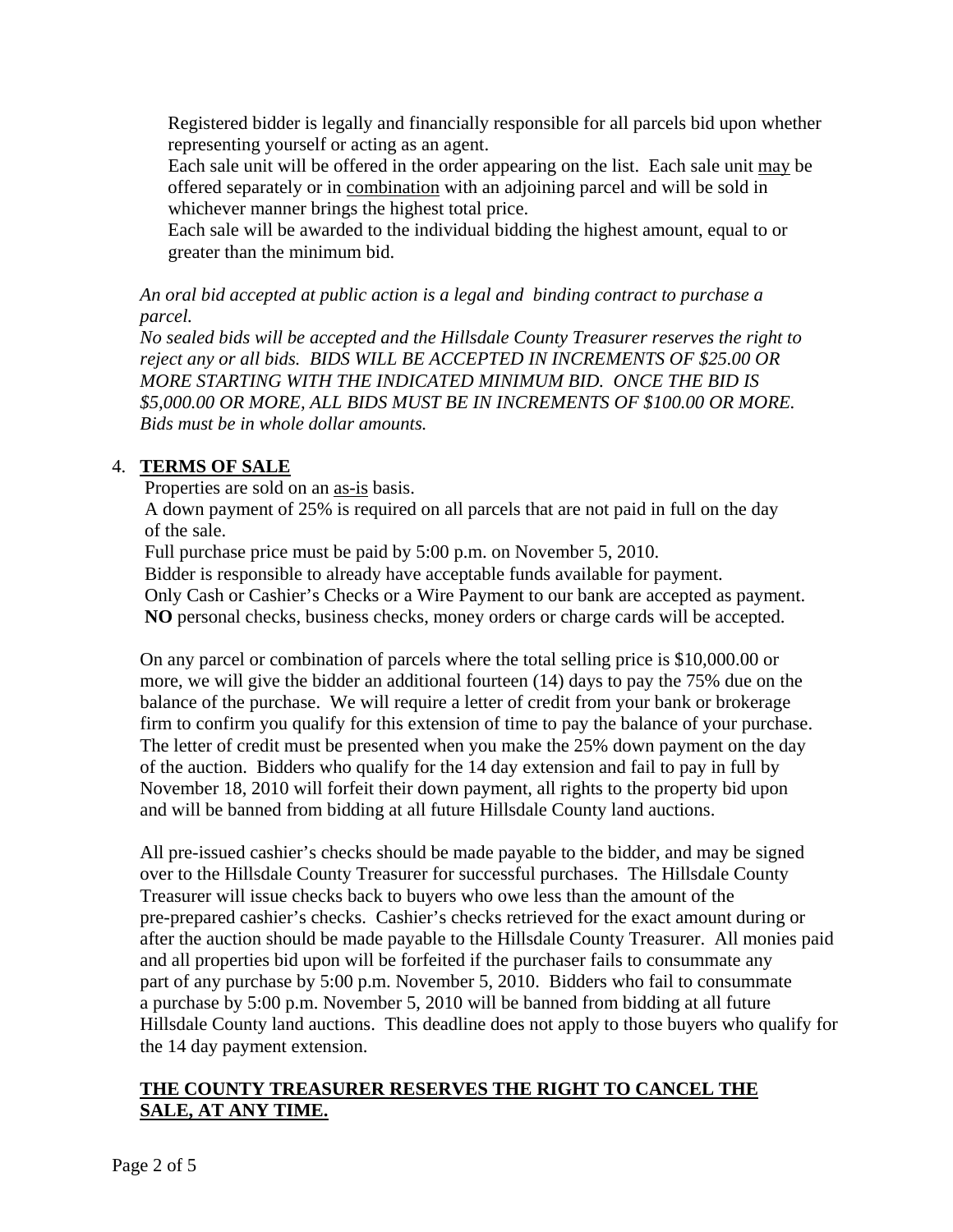Registered bidder is legally and financially responsible for all parcels bid upon whether representing yourself or acting as an agent.

 Each sale unit will be offered in the order appearing on the list. Each sale unit may be offered separately or in combination with an adjoining parcel and will be sold in whichever manner brings the highest total price.

 Each sale will be awarded to the individual bidding the highest amount, equal to or greater than the minimum bid.

*An oral bid accepted at public action is a legal and binding contract to purchase a parcel.* 

*No sealed bids will be accepted and the Hillsdale County Treasurer reserves the right to reject any or all bids. BIDS WILL BE ACCEPTED IN INCREMENTS OF \$25.00 OR MORE STARTING WITH THE INDICATED MINIMUM BID. ONCE THE BID IS \$5,000.00 OR MORE, ALL BIDS MUST BE IN INCREMENTS OF \$100.00 OR MORE. Bids must be in whole dollar amounts.*

## 4. **TERMS OF SALE**

Properties are sold on an as-is basis.

 A down payment of 25% is required on all parcels that are not paid in full on the day of the sale.

Full purchase price must be paid by 5:00 p.m. on November 5, 2010.

Bidder is responsible to already have acceptable funds available for payment.

 Only Cash or Cashier's Checks or a Wire Payment to our bank are accepted as payment. **NO** personal checks, business checks, money orders or charge cards will be accepted.

On any parcel or combination of parcels where the total selling price is \$10,000.00 or more, we will give the bidder an additional fourteen (14) days to pay the 75% due on the balance of the purchase. We will require a letter of credit from your bank or brokerage firm to confirm you qualify for this extension of time to pay the balance of your purchase. The letter of credit must be presented when you make the 25% down payment on the day of the auction. Bidders who qualify for the 14 day extension and fail to pay in full by November 18, 2010 will forfeit their down payment, all rights to the property bid upon and will be banned from bidding at all future Hillsdale County land auctions.

 All pre-issued cashier's checks should be made payable to the bidder, and may be signed over to the Hillsdale County Treasurer for successful purchases. The Hillsdale County Treasurer will issue checks back to buyers who owe less than the amount of the pre-prepared cashier's checks. Cashier's checks retrieved for the exact amount during or after the auction should be made payable to the Hillsdale County Treasurer. All monies paid and all properties bid upon will be forfeited if the purchaser fails to consummate any part of any purchase by 5:00 p.m. November 5, 2010. Bidders who fail to consummate a purchase by 5:00 p.m. November 5, 2010 will be banned from bidding at all future Hillsdale County land auctions. This deadline does not apply to those buyers who qualify for the 14 day payment extension.

## **THE COUNTY TREASURER RESERVES THE RIGHT TO CANCEL THE SALE, AT ANY TIME.**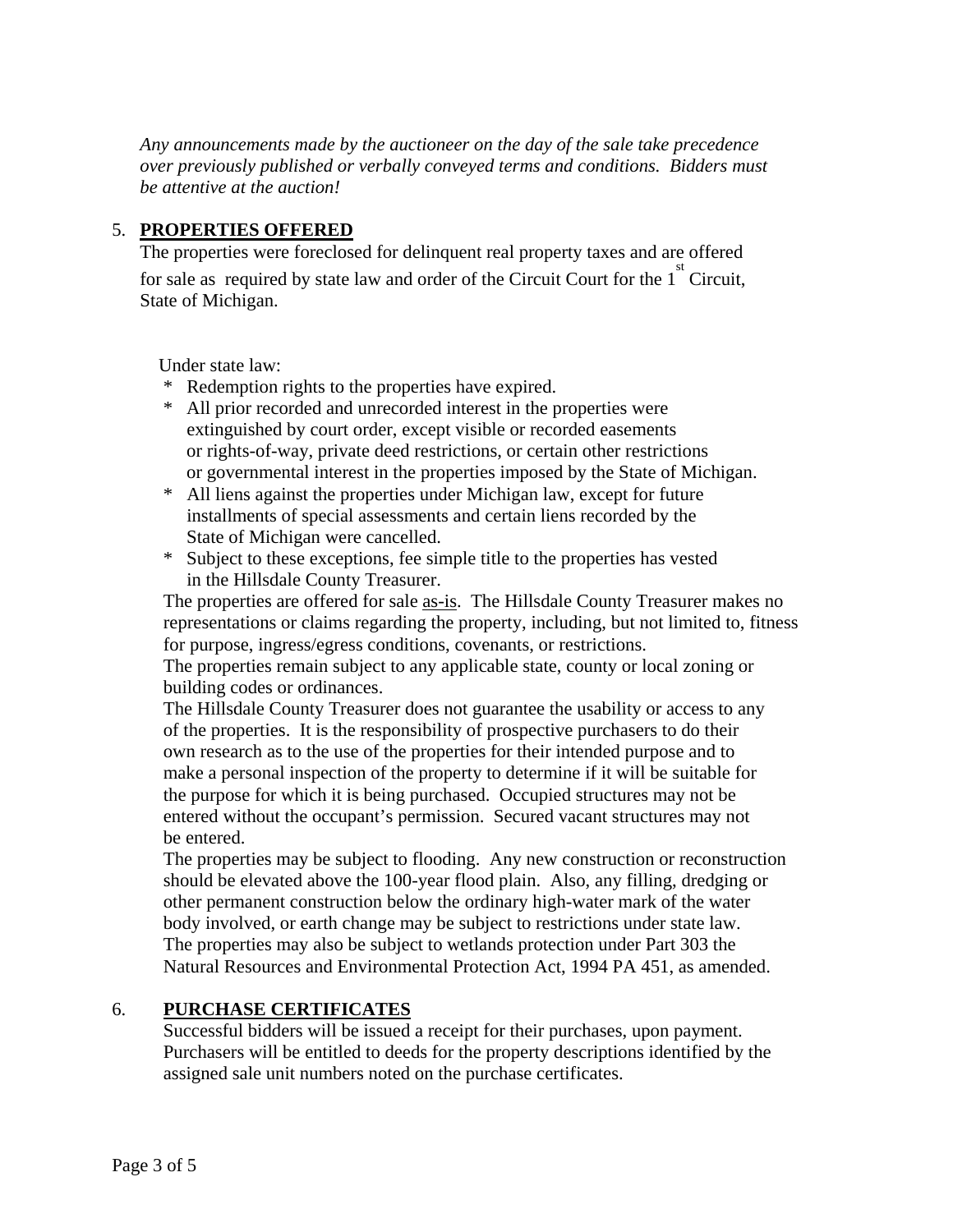*Any announcements made by the auctioneer on the day of the sale take precedence over previously published or verbally conveyed terms and conditions. Bidders must be attentive at the auction!* 

## 5. **PROPERTIES OFFERED**

 The properties were foreclosed for delinquent real property taxes and are offered for sale as required by state law and order of the Circuit Court for the  $1<sup>st</sup>$  Circuit, State of Michigan.

Under state law:

- \* Redemption rights to the properties have expired.
- \* All prior recorded and unrecorded interest in the properties were extinguished by court order, except visible or recorded easements or rights-of-way, private deed restrictions, or certain other restrictions or governmental interest in the properties imposed by the State of Michigan.
- \* All liens against the properties under Michigan law, except for future installments of special assessments and certain liens recorded by the State of Michigan were cancelled.
- \* Subject to these exceptions, fee simple title to the properties has vested in the Hillsdale County Treasurer.

The properties are offered for sale as-is. The Hillsdale County Treasurer makes no representations or claims regarding the property, including, but not limited to, fitness for purpose, ingress/egress conditions, covenants, or restrictions.

The properties remain subject to any applicable state, county or local zoning or building codes or ordinances.

The Hillsdale County Treasurer does not guarantee the usability or access to any of the properties. It is the responsibility of prospective purchasers to do their own research as to the use of the properties for their intended purpose and to make a personal inspection of the property to determine if it will be suitable for the purpose for which it is being purchased. Occupied structures may not be entered without the occupant's permission. Secured vacant structures may not be entered.

The properties may be subject to flooding. Any new construction or reconstruction should be elevated above the 100-year flood plain. Also, any filling, dredging or other permanent construction below the ordinary high-water mark of the water body involved, or earth change may be subject to restrictions under state law. The properties may also be subject to wetlands protection under Part 303 the Natural Resources and Environmental Protection Act, 1994 PA 451, as amended.

## 6. **PURCHASE CERTIFICATES**

 Successful bidders will be issued a receipt for their purchases, upon payment. Purchasers will be entitled to deeds for the property descriptions identified by the assigned sale unit numbers noted on the purchase certificates.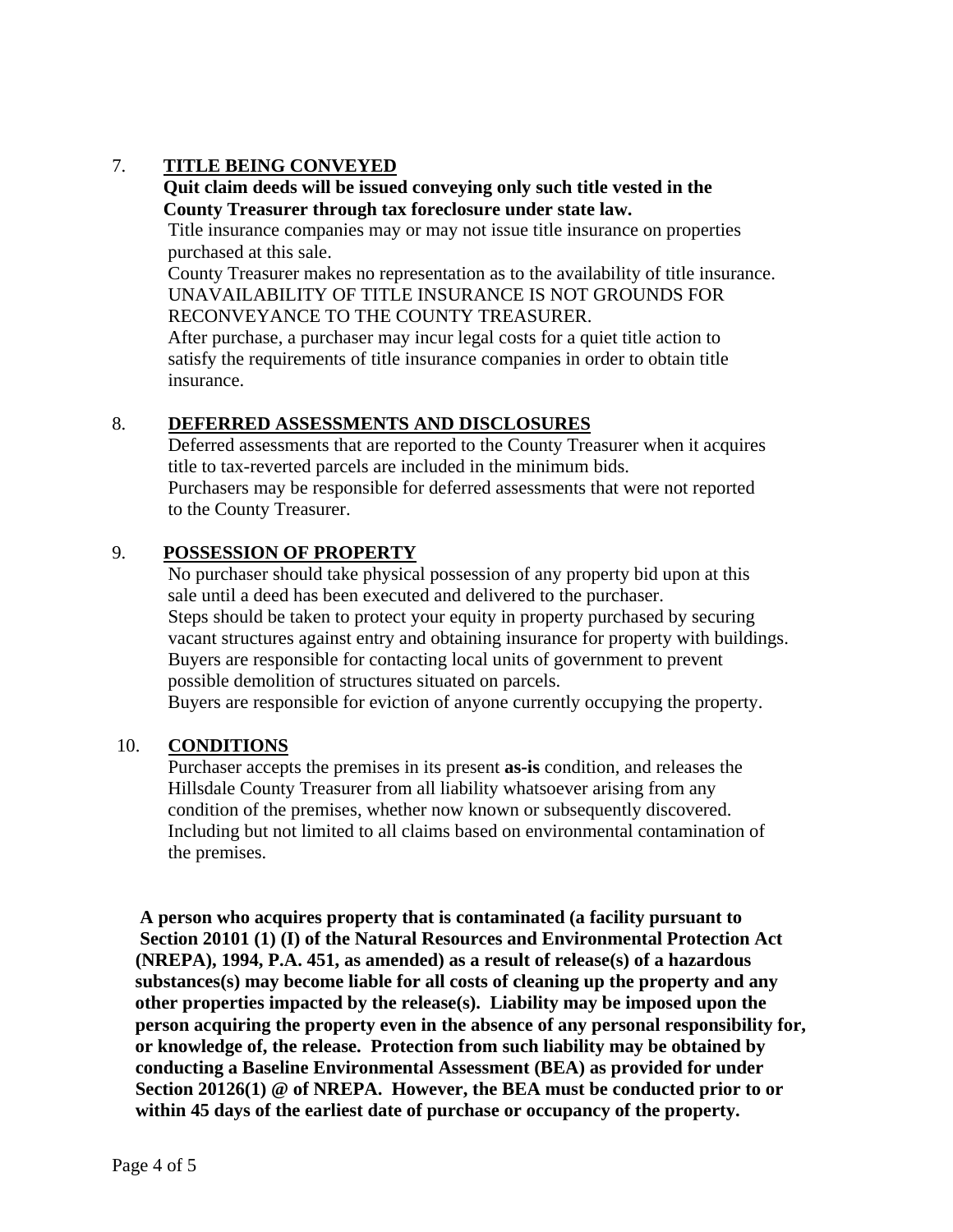## 7. **TITLE BEING CONVEYED**

#### **Quit claim deeds will be issued conveying only such title vested in the County Treasurer through tax foreclosure under state law.**

Title insurance companies may or may not issue title insurance on properties purchased at this sale.

 County Treasurer makes no representation as to the availability of title insurance. UNAVAILABILITY OF TITLE INSURANCE IS NOT GROUNDS FOR RECONVEYANCE TO THE COUNTY TREASURER.

 After purchase, a purchaser may incur legal costs for a quiet title action to satisfy the requirements of title insurance companies in order to obtain title insurance.

#### 8. **DEFERRED ASSESSMENTS AND DISCLOSURES**

 Deferred assessments that are reported to the County Treasurer when it acquires title to tax-reverted parcels are included in the minimum bids. Purchasers may be responsible for deferred assessments that were not reported to the County Treasurer.

## 9. **POSSESSION OF PROPERTY**

 No purchaser should take physical possession of any property bid upon at this sale until a deed has been executed and delivered to the purchaser. Steps should be taken to protect your equity in property purchased by securing vacant structures against entry and obtaining insurance for property with buildings. Buyers are responsible for contacting local units of government to prevent possible demolition of structures situated on parcels.

Buyers are responsible for eviction of anyone currently occupying the property.

#### 10. **CONDITIONS**

 Purchaser accepts the premises in its present **as-is** condition, and releases the Hillsdale County Treasurer from all liability whatsoever arising from any condition of the premises, whether now known or subsequently discovered. Including but not limited to all claims based on environmental contamination of the premises.

 **A person who acquires property that is contaminated (a facility pursuant to Section 20101 (1) (I) of the Natural Resources and Environmental Protection Act (NREPA), 1994, P.A. 451, as amended) as a result of release(s) of a hazardous substances(s) may become liable for all costs of cleaning up the property and any other properties impacted by the release(s). Liability may be imposed upon the person acquiring the property even in the absence of any personal responsibility for, or knowledge of, the release. Protection from such liability may be obtained by conducting a Baseline Environmental Assessment (BEA) as provided for under Section 20126(1) @ of NREPA. However, the BEA must be conducted prior to or within 45 days of the earliest date of purchase or occupancy of the property.**